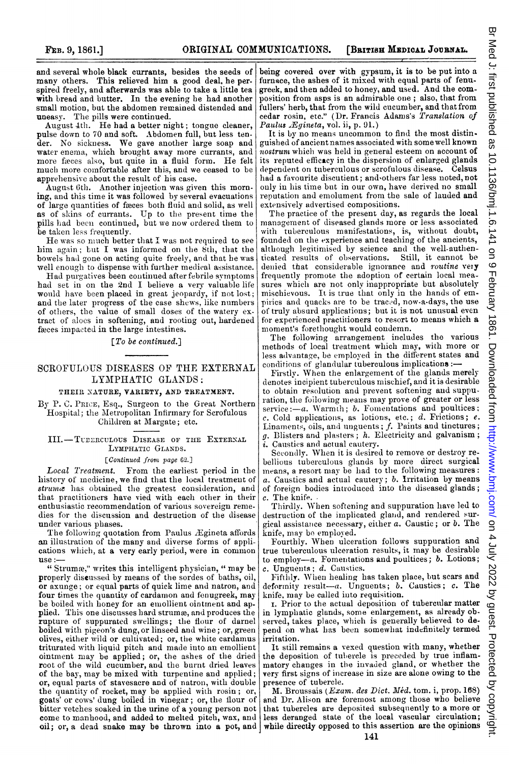and several whole black currants, besides the seeds of many others. This relieved him a good deal, he perspired freely, and afterwards was able to take a little tea with bread and butter. In the evening he had another small motion, but the abdomen remained distended and uneasy. The pills were continued.

August  $4th$ . He had a better night; tongue cleaner, pulse down to 70 and soft. Abdomen full, but less tender. No sickiness. We gave another large soap and water enema, wlhich brought away more currants, and more fieces also, but quite in <sup>a</sup> fluid form. He felt much more comfortable after this, and we ceased to be apprelhensive about the resuilt of his case.

August 6th. Another injection was given this morning, and this time it was followed by several evacuations of large quantities of freces both fluid and solid, as well as of sliins of currants. Up to the present time the pills lhad been continued, but we nov ordered them to be taken less frequently.

He was so much better that I was not required to see him again; but I was informed on the  $\delta$ th, that the bowels had gone on acting quite freely, and that he was well enough to dispense with further medical assistance.

Had purgatives been continued after febrile symptoms had set in on the 2nd I believe a very valuable life would have been placed in great jeopardy, if not lost; and the later progress of the case shews, like numbers of otlhers, the value of small doses of the watery extract of aloes in softening, and rooting out, hardened faeces impacted in the large intestines.

## [To be continued.]

## SCROFULOUS DISEASES OF THE EXTERNAL LYMPHATIC GLANDS:

## THEIR NATURE, VARIETY, AND TREATMENT.

By P. C. PRICE, Esq., Surgeon to the Great Northern Hospital; the Metropolitan Infirmary for Scrofulous Children at Margate; etc.

III.-TUEERCULous DISEASE OF THE EXTERNAL LYMPHATIC GLANDS.

[Continued front page 62.]

Local Treatment. From the earliest period in the history of medicine, we find that the local treatment of struma has obtained the greatest consideration, and that practitioners have vied with each other in their enthusiastic recommendation of various sovereign remedies for the discussion and destruction of the disease under various phases.

The following quotation from Paulus Ægineta affords an illustration of the many and diverse forms of applications which, at a very early period, were in common use:

" Strume," writes this intelligent physician, " may be properly discussed by means of the sordes of baths, oil, or axunge; or equal parts of quick lime and natron, and four times the quantity of cardamon and fenugreek, may be boiled with honey for an emollient ointment and applied. This one discusses hard strumæ, and produces the rupture of suppurated swellings; the flour of darnel boiled with pigeon's dung, or linseed and wine; or, green olives, either wild or cultivated; or, the white cardamus triturated with liquid pitch and made into an emollient ointment may be applied; or, the ashes of the dried root of the wild cucumber, and the burnt dried leaves of the bay, may be mixed with turpentine and applied; or, equal parts of stavesacre and of natron, with double the quantity of rocket, may be applied with rosin; or, goats' or cows' dung boiled in vinegar; or, the flour of bitter vetches soaked in the urine of a young person not come to manhood, and added to melted pitch, wax, and

being covered over with gypsum, it is to be put into a furnace, the ashes of it mixed with equal parts of fenugreek, and then added to honey, and used. And the composition from asps is an admirable one; also, that from fullers' herb, that from the wild cucumber, and that from cedar rosin, etc." (Dr. Francis Adams's Translation of Paulus *Egineta*, vol. ii, p. 91.)

It is by no means uncommon to find the most distinguished of ancient names associated with some well known nostrum which was held in general esteem on account of its reputed efficacy in the dispersion of enlarged glands dependent on tuberculous or scrofulous disease. Celsus had a favourite discutient; and'others far less noted, not onlv in his time but in our own, have derived no small reputation and emolument from the sale of lauded and extensively advertised compositions.

The practice of the present day, as regards the local management of diseased glands more or less associated with tuberculous manifestations, is, without doubt, founded on the experience and teaching of the ancients, although legitimised by science and the well-authenticated results of observations. Still, it cannot be denied that considerable ignorance and routine very frequently promote the adoption of certain local measures which are not only inappropriate but absolutely mischievous. It is true that only in the hands of empirics and quacks are to be traced, now-a-days, the use of truly absurd applications; but it is not unusual even for experienced practitioners to resort to means which a moment's forethought would condemn.

The following arrangement includes the various methods of local treatment which may, with more or less advantage, be employed in the different states and conditions of glandular tuberculous implications  $:$ 

Firstly. When the enlargement of the glands merely denotes incipient tuberculous mischief, and it is desirable to obtain resolution and prevent softening and suppuration, the foilowing means may prove of greater or less  $service:-a.$  Warmth;  $b.$  Fomentations and poultices: c. Cold applications, as lotions, etc.; d. Frictions; e.<br>Linaments, oils, and unguents; f. Paints and tinctures;  $g$ . Blisters and plasters;  $h$ . Electricity and galvanism;  $i.$  Caustics and actual cautery.

Secondly. When it is desired to remove or destroy rebellious tuberculous glands by more direct surgical means, a resort may be had to the following measures: a. Caustics and actual cautery; b. Irritation by means of foreign bodies introduced into the diseased glands; c. The knife.

Thirdly. Vhen softening and suppuration have led to destruction of the implicated gland, and rendered surgical assistatice necessary, either a. Caustic ; or b. The knife, may bo employed.

Fourthly. When ulceration follows suppuration and true tuberculous ulceration results, it may be desirable to employ- $a$ . Fomentations and poultices;  $b$ . Lotions;  $c.$  Unguents;  $d.$  Caustics.

Fifthly. When healing has taken place, but scars and deformity result-a. Unguents;  $b$ . Caustics;  $c$ . The knife, may be called inito requisition.

I. Prior to the actual deposition of tubercular matter in lymphatic glands, some enlargement, as already ob-<br>served, takes place, which is generally believed to depend on what has been somewhat indefinitely termed irritation.

It still remains a vexed question with many, whether the deposition of tulercle is preceded by true inflammatory changes in the invaded gland, or whether the very first signs of increase in size are alone owing to the presence of tubercle.

oil; or, a dead snake may be thrown into a pot, and while directly opposed to this assertion are the opinions M. Broussais (*Exam. des Dict. Méd.* tom. i, prop. 168) and Dr. Alison are forermost among those who believe that tubercles are deposited subsequently to a more or less deranged state of the local vascular circulation;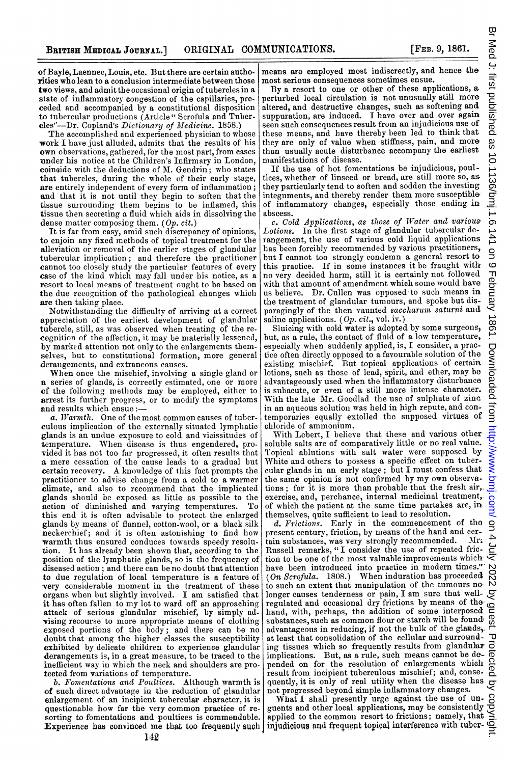of Bayle, Laennec, Louis, etc. But there are certain authorities who lean to a conclusion intermediate between those two views, and admit the occasional origin of tubercles in a state of inflammatory congestion of the capillaries, preceded and accompanied by a constitutional disposition to tubercular productions (Article" Scrofula and Tubercles"-Dr. Copland's Dictionary of Medicine. 1858.)

The accomplished and experienced physician to whose work I have just alluded, admits that the results of his own observations, gathered, for the most part, from cases under his notice at the Children's Infirmary in London, coincide with the deductions of M. Gendrin; who states that tubercles, during the whole of their early stage, are entirely independent of every form of inflammation; and that it is not until they begin to soften that the tissue surrounding them begins to be inflamed, this tissue then secreting a fluid which aids in dissolving the dense matter composing them. (Op. cit.)

It is far from easy, amid such discrepancy of opinions, to enjoin any fixed methods of topical treatment for the alleviation or removal of the earlier stages of glandular tubercular implication; and therefore the practitioner cannot too closely study the particular features of every case of the Ikind which may fall under his notice, as a resort to local means of treatnment ought to be based on the due recognition of the pathological changes which are then taking place.

Notwithstanding the difficultv of arriving at a correct appreciation of the earliest development of glandular tubercle, still, as was observed when treating of the recognition of the affection, it may be materially lessened, by marked attention not only to the enlargements themselves, but to constitutional formation, more general derangements, and extraneous causes.

When once the mischief, involving <sup>a</sup> single gland or a series of glands, is correctly estimated, one or more of the following methods may be employed, either to arrest its further progress, or to modify the symptomas and results which ensue:-

a. Warmth. One of the most common causes of tuberculous implication of the externally situated lymplhatic glands is an undue exposure to cold and vicissitudes of temperature. When disease is thus engendered, provided it has not too far progressed, it often results that a mere cessation of the cause leads to a gradual but certain recovery. A knowledge of this fact prompts the practitioner to advise change from <sup>a</sup> cold to <sup>a</sup> warmer climate, and also to recommend that the implicated glands should be exposed as little as possible to the action of diminished and varying temperatures. To action of diminished and varying temperatures. this end it is often advisable to protect the enlarged glands by means of flannel, cotton-wool, or a black silk neckerchief; and it is often astonishing to find how warmth thus ensured conduces towards speedy resolution. It has already been shown that, according to the position of the lymphatic glands, so is the frequency of diseased action; and there can be no doubt that attention to due regulation of local temperature is a feature of very considerable moment in the treatment of these organs when but slightly involved. I am satisfied that it has often fallen to my lot to ward off an approaching attack of serious glandular mischief, by simply advising recourse to more appropriate means of clothing exposed portions of the body; and there can be no doubt that among the higher classes the susceptibility exhibited by delicate children to experience glandular derangements is, in a great measure, to be traced to the inefficient way in which the neck and shoulders are pro-

tected from variations of temperature.<br>b. Fomentations and Poultices. Although warmth is of such direct advantage in the reduction of glandular enlargement of an incipient tubercular character, it is questionable how far the very common practice of resorting to fomentations and poultices is commendable.

means are employed most indiscreetly, and hence the most serious consequences sometimes ensue.

By <sup>a</sup> resort to one or other of these applications, a perturbed local circulation is not unusually still more altered, and destructive changes, such as softening and suppuration, are induced. <sup>I</sup> have over and over again seen such consequences result from an injudicious use of these means, and have thereby been led to think that they are only of value when stiffness, pain, and more than usually acute disturbance accompany the earliest manifestations of disease.

If the use of hot fomentations be injudicious, poultices, whether of linseed or bread, are still more so, as they particularly tend to soften and sodden the investing integuments, and thereby render them more susceptible of inflammatory changes, especially those ending in abscess.

c. Cold Applications, as those of Water and various Lotions. In the first stage of glandular tubercular derangement, the use of various cold liquid applications has been forcibly recommended by various practitioners, but <sup>I</sup> cannot too strongly condemn a general resort to this practice. If in some instances it be fraught with no very decided harm, still it is certainly not followed with that amount of amendment which some would have us believe. Dr. Cullen was opposed to such means in the treatment of glandular tumours, and spoke but disparagingly of the then vaunted saccharum saturni and saline applications.  $(Op. cit., vol. iv.)$ 

Sluicing with cold water is adopted by some surgeons, but, as a rule, the contact of fluid of a low temperature, especially when suddenly applied, is, I consider, <sup>a</sup> practice often directly opposed to <sup>a</sup> favourable solution of the existing mischief. But topical applications of certain lotions, such as those of lead, spirit, and ether, mav be advantageously used when the inflammatory disturbance is subacute, or even of a still more intense character. With the late Mr. Goodlad the use of sulplhate of zinc in an aqueous solution was held in high repute, and contemporaries equally extolled the supposed virtues of chloride of ammonium.

With Lebert, <sup>I</sup> believe that these and various other soluble salts are of comparatively little or no real value. Topical ablutions with salt water were supposed by White and others to possess a specific effect on tubercular glands in an early stage; but <sup>I</sup> must confess that the same opinion is not confirmed by my own observa-Enforce or annimoum.<br>With Lebert, I believe that these and various other soluble salts are of comparatively little or no real value.<br>Topical ablutions with salt water were supposed by White and others to possess a specifi exercise, and, perchance, internal medicinal treatment, of which the patient at the same time partakes are, in themselves, quite sufficient to lead to resolution.

d. Frictions. Early in the commencement of the present century, friction, by means of the hand and cer-<br>tain substances, was very strongly recommended. Mr. d. Frictions. Early in the commencement of the  $\overline{9}$  present century, friction, by means of the hand and certain substances, was very strongly recommended. Mr. A Russell remarks, "I consider the use of repeated frictio Russell remarks, "I consider the use of repeated friction to be one of the most valuable improvements which have been introduced into practice in modern times." have been introduced into practice in modern times." N<br>
(On Scrofula. 1808.) When induration has proceeded  $\bigotimes$ <br>
to such an extent that manipulation of the tumours no. N to such an extent that manipulation of the tumours no longer causes tenderness or pain, I am sure that welllonger causes tenderness or pain,  $\mu$  am sure cause of the  $\sim$  regulated and occasional dry frictions by means of the  $\sim$ hand, with, perhaps, the addition of some interposed nand, with, perhaps, the addition or starch will be found.<br>substances, such as common flour or starch will be found,  $\frac{1}{\omega}$ advantageous in reducing, if not the bulk of the glands>. at least that consolidation of the cellular and surround-ing tissues which so frequently results from glandulaz implications. But, as <sup>a</sup> rule, such means cannot be depended on for the resolution of enlargements which result from incipient tuberculous mischief; and, consequently, it is only of real utility when the disease has not progressed beyond simple inflammatory changes.

Experience has convinced me that too frequently such  $\vert$  injudicious and frequent topical interference with tuber-What I shall presently urge against the use of unguents and other local applications, may be consistently applied to the common resort to frictions; namely, that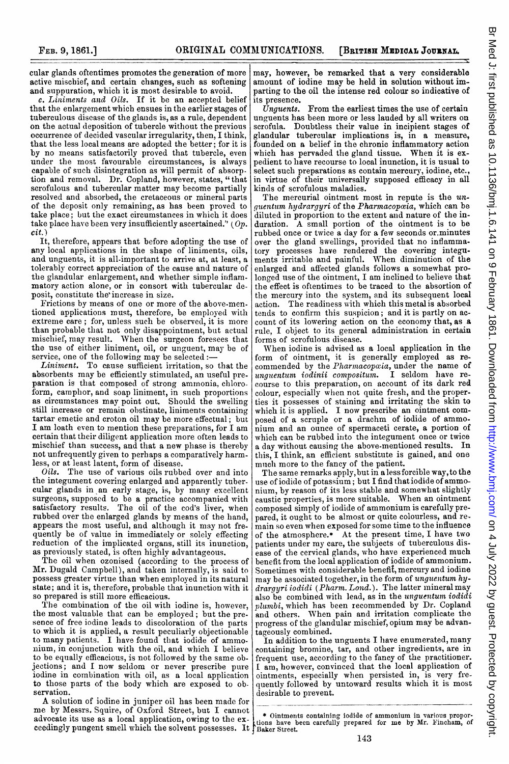cular glands oftentimes promotes the generation of more active mischief, and certain changes, such as softening and suppuration, which it is most desirable to avoid.

 $e.$  Liniments and Oils. If it be an accepted belief that the enlargement which ensues in the earlier stages of tuberculous disease of the glands is, as a rule, dependent on the actual deposition of tubercle without the previous occurrence of decided vascular irregularity, then, I think, that the less local means are adopted the better; for it is by no means satisfactorily proved that tubercle, even under the most favourable circumstances, is always capable of such disintegration as will permit of absorption and removal. Dr. Copland, however, states, " that scrofulous and tubercular matter may become partially resolved and absorbed, the cretaceous or mineral parts of the deposit only remaining, as has been proved to take place; but the exact circumstances in which it does take place have been very insufficiently ascertained." (Op. cit.)

It, therefore, appears that before adopting the use of any local applications in the shape of liniments, oils, and unguents, it is all-important to arrive at, at least, a tolerably correct appreciation of the cause and nature of the glandular enlargement, and whether simple inflammatory action alone, or in consort with tubercular deposit, constitute the'increase in size.

Frictions by means of one or more of the above-mentioned applications must, therefore, be employed with extreme care; for, unless such be observed, it is more than probable that not only disappointment, but actual mischief, may result. When the surgeon foresees that the use of either liniment, oil, or unguent, may be of service, one of the following may be selected :-

Liniment. To cause sufficient irritation, so that the absorbents may be efficiently stimulated, an useful preparation is that composed of strong amrnonia, chloroform, camphor, and soap liniment, in such proportions as circumstances may point out. Should the swelling still increase or remain obstinate, liniments containing tartar emetic and croton oil may be more effectual; but I am loath even to mention these preparations, for <sup>I</sup> am certain that their diligent application more often leads to mischief than success, and that a new phase is thereby not unfrequently given to perhaps a comparatively harmless, or at least latent, form of disease.

Oils. The use of various oils rubbed over and into the integument covering enlarged and apparently tubercular glands in an early stage, is, by many excellent surgeons, supposed to be a practice accompanied with satisfactory results. The oil of the cod's liver, when rubbed over the enlarged glands by means of the hand, appears the most useful, and although it may not fre. quently be of value in immediately or solely effecting reduction of the implicated organs, still its inunction, as previously stated, is often highly advantageous.

The oil when ozonised (according to the process of Mr. Dugald Campbell), and taken internally, is said to possess greater virtue than when employed in its natural state; and it is, therefore, probable that inunction with it so prepared is still more efficacious.

The combination of the oil with iodine is, however, the most valuable that can be employed; but the presence of free iodine leads to discoloration of the parts to which it is applied, a result peculiarly objectionable to many patients. I have found that iodide of ammonium, in conjunction with the oil, and which I believe to be equally efficacious, is not followed by the same objections; and <sup>I</sup> now seldom or never prescribe puire iodine in combination with oil, as a local application to those parts of the body which are exposed to observation.

A solution of iodine in juniper oil has been made for me by Messrs. Squire, of Oxford Street, but I canrnot advocate its use as a local application, owing to the exadvocate its use as a focal application, owing to the ex- tions have been carefully prepared for me by Mr. Fincham, of ceedingly pungent smell which the solvent possesses. It is baker Street.

may, however, be remarked that a very considerable amount of iodine may be held in solution without imparting to the oil the intense red colour so indicative of

its presence.<br>Unquents. From the earliest times the use of certain unguents has been more or less lauded by all writers on scrofula. Doubtless their value in incipient stages of glandular tubercular implications is, in a measure, founded on a belief in the chronic inflammatory action which has pervaded the gland tissue. When it is expedient to have recourse to local inunction, it is usual to select such preparations as contain mercury, iodine, etc., in virtue of their universally supposed efficacy in all kinds of scrofulous maladies.

The mercurial ointment most in repute is the unquentum hydrargyri of the Pharmacop $\alpha$ ia, which can be diluted in proportion to the extent and nature of the induration. A small portion of the ointment is to be rubbed once or twice a day for a few seconds or.minutes over the gland swellings, provided that no inflammatory processes have rendered the covering integuments irritable and painful. When diminution of the enlarged and affected glands follows <sup>a</sup> somewhat prolonged use of the ointment, <sup>I</sup> am inclined to believe that the effect is oftentimes to be traced to the absortion of the mercury into the system, and its subsequent local action. The readiness with which this metal is absorbed ternds to confirm this suspicion; and it is partly on account of its lowering action on the economy that, as a rule, I object to its general administration in certain forms of scrofulous disease.

When iodine is advised as <sup>a</sup> local application in the form of ointment, it is generally employed as recommended by the Pharmacopaia, under the name of unguentum iodinii compositum. I seldom have recourse to this preparation, on account of its dark red colour, especially when not quite fresh, and the proper. ties it possesses of staining and irritating the skin to which it is applied. I now prescribe an ointment composed of <sup>a</sup> scruple or <sup>a</sup> drachm of iodide of ammnonium and an ounce of spermaceti cerate, <sup>a</sup> portion of which can be rubbed into the integument once or twice <sup>a</sup> day without causing the above-mentioned results. In this, <sup>I</sup> think, an efficient substitute is gained, and one much more to the fancy of the patient.

The sane remarks apply,but in <sup>a</sup> less forcible way,to the use of iodide of potassium; but <sup>I</sup> find that iodide of ammonium, by reason of its less stable and somewhat slightly caustic properties, is more suitable. When an ointment composed simply of iodide of ammonium is carefully prepared, it ought to be almost or quite colourless, and remain so even when exposed for some time to the influence of the atmosphere.\* At the present time, I have two patients under my care, the subjects of tuberculous disease of the cervical glands, who have experienced much benefit from the local application of iodide of ammonium. Sometimes with considerable benefit, mercury and iodine may be associated together, in the form of unguentum hydrargyri iodidi (Pharm. Lond.). The latter mineral may also be combined with lead, as in the unguentum iodidi plumbi, which has been recommended by Dr. Copland and others. When pain and irritation complicate the progress of the glandular mischief, opium may be advantageously combined.

In addition to the unguents <sup>I</sup> have enumerated, many containing bromine, tar, and other ingredients, are in frequent use, according to the fancy of the practitioner. <sup>I</sup> am, however, convinced that the local application of ointments, especially when persisted in, is very frequently followed by untoward results which it is most desirable to prevent.

\* Ointments containing iodide of ammonium in various propor-

a.